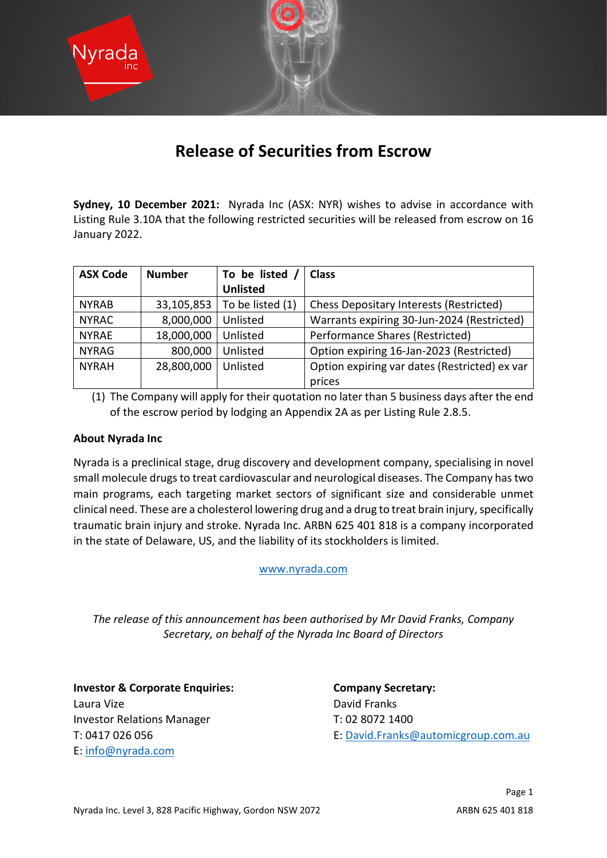

## **Release of Securities from Escrow**

**Sydney, 10 December 2021:** Nyrada Inc (ASX: NYR) wishes to advise in accordance with Listing Rule 3.10A that the following restricted securities will be released from escrow on 16 January 2022.

| <b>ASX Code</b> | <b>Number</b> | To be listed     | <b>Class</b>                                   |
|-----------------|---------------|------------------|------------------------------------------------|
|                 |               | <b>Unlisted</b>  |                                                |
| <b>NYRAB</b>    | 33,105,853    | To be listed (1) | <b>Chess Depositary Interests (Restricted)</b> |
| <b>NYRAC</b>    | 8,000,000     | Unlisted         | Warrants expiring 30-Jun-2024 (Restricted)     |
| <b>NYRAE</b>    | 18,000,000    | Unlisted         | Performance Shares (Restricted)                |
| <b>NYRAG</b>    | 800,000       | Unlisted         | Option expiring 16-Jan-2023 (Restricted)       |
| <b>NYRAH</b>    | 28,800,000    | Unlisted         | Option expiring var dates (Restricted) ex var  |
|                 |               |                  | prices                                         |

(1) The Company will apply for their quotation no later than 5 business days after the end of the escrow period by lodging an Appendix 2A as per Listing Rule 2.8.5.

## **About Nyrada Inc**

Nyrada is a preclinical stage, drug discovery and development company, specialising in novel small molecule drugs to treat cardiovascular and neurological diseases. The Company has two main programs, each targeting market sectors of significant size and considerable unmet clinical need. These are a cholesterol lowering drug and a drug to treat brain injury, specifically traumatic brain injury and stroke. Nyrada Inc. ARBN 625 401 818 is a company incorporated in the state of Delaware, US, and the liability of its stockholders is limited.

[www.nyrada.com](http://www.nyrada.com/)

*The release of this announcement has been authorised by Mr David Franks, Company Secretary, on behalf of the Nyrada Inc Board of Directors*

**Investor & Corporate Enquiries: Company Secretary:** Laura Vize **David Franks** Investor Relations Manager T: 02 8072 1400 E: [info@nyrada.com](mailto:info@nyrada.com)

T: 0417 026 056 E: [David.Franks@automicgroup.com.au](mailto:David.Franks@automicgroup.com.au)